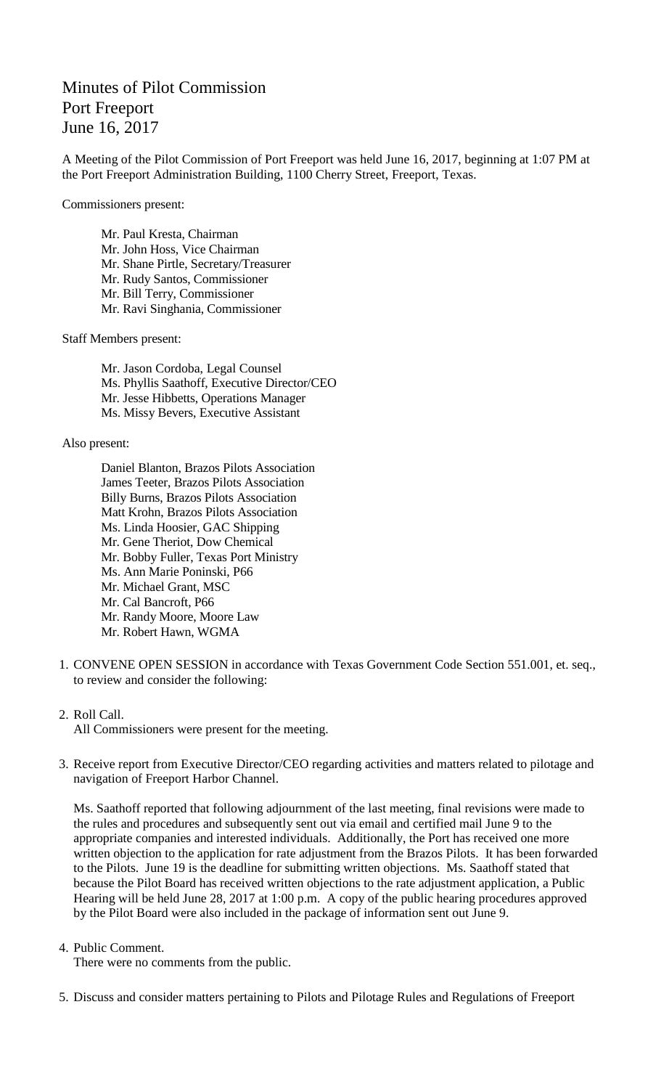## Minutes of Pilot Commission Port Freeport June 16, 2017

A Meeting of the Pilot Commission of Port Freeport was held June 16, 2017, beginning at 1:07 PM at the Port Freeport Administration Building, 1100 Cherry Street, Freeport, Texas.

Commissioners present:

Mr. Paul Kresta, Chairman Mr. John Hoss, Vice Chairman Mr. Shane Pirtle, Secretary/Treasurer Mr. Rudy Santos, Commissioner Mr. Bill Terry, Commissioner Mr. Ravi Singhania, Commissioner

Staff Members present:

Mr. Jason Cordoba, Legal Counsel Ms. Phyllis Saathoff, Executive Director/CEO Mr. Jesse Hibbetts, Operations Manager Ms. Missy Bevers, Executive Assistant

Also present:

Daniel Blanton, Brazos Pilots Association James Teeter, Brazos Pilots Association Billy Burns, Brazos Pilots Association Matt Krohn, Brazos Pilots Association Ms. Linda Hoosier, GAC Shipping Mr. Gene Theriot, Dow Chemical Mr. Bobby Fuller, Texas Port Ministry Ms. Ann Marie Poninski, P66 Mr. Michael Grant, MSC Mr. Cal Bancroft, P66 Mr. Randy Moore, Moore Law Mr. Robert Hawn, WGMA

1. CONVENE OPEN SESSION in accordance with Texas Government Code Section 551.001, et. seq., to review and consider the following:

2. Roll Call.

All Commissioners were present for the meeting.

3. Receive report from Executive Director/CEO regarding activities and matters related to pilotage and navigation of Freeport Harbor Channel.

Ms. Saathoff reported that following adjournment of the last meeting, final revisions were made to the rules and procedures and subsequently sent out via email and certified mail June 9 to the appropriate companies and interested individuals. Additionally, the Port has received one more written objection to the application for rate adjustment from the Brazos Pilots. It has been forwarded to the Pilots. June 19 is the deadline for submitting written objections. Ms. Saathoff stated that because the Pilot Board has received written objections to the rate adjustment application, a Public Hearing will be held June 28, 2017 at 1:00 p.m. A copy of the public hearing procedures approved by the Pilot Board were also included in the package of information sent out June 9.

4. Public Comment.

There were no comments from the public.

5. Discuss and consider matters pertaining to Pilots and Pilotage Rules and Regulations of Freeport